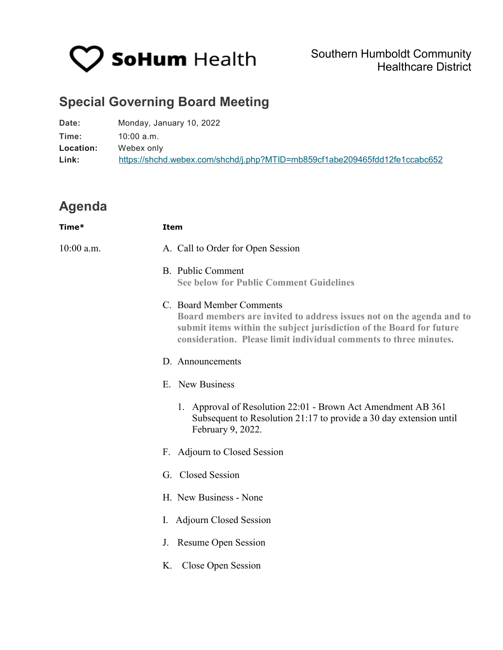

## **Special Governing Board Meeting**

| Date:     | Monday, January 10, 2022                                                   |
|-----------|----------------------------------------------------------------------------|
| Time:     | $10:00$ a.m.                                                               |
| Location: | Webex only                                                                 |
| Link:     | https://shchd.webex.com/shchd/j.php?MTID=mb859cf1abe209465fdd12fe1ccabc652 |

## **Agenda**

| Time*        | Item                                                                                                                                                                                                                                          |
|--------------|-----------------------------------------------------------------------------------------------------------------------------------------------------------------------------------------------------------------------------------------------|
| $10:00$ a.m. | A. Call to Order for Open Session                                                                                                                                                                                                             |
|              | B. Public Comment<br><b>See below for Public Comment Guidelines</b>                                                                                                                                                                           |
|              | C. Board Member Comments<br>Board members are invited to address issues not on the agenda and to<br>submit items within the subject jurisdiction of the Board for future<br>consideration. Please limit individual comments to three minutes. |
|              | D. Announcements                                                                                                                                                                                                                              |
|              | E. New Business                                                                                                                                                                                                                               |
|              | 1. Approval of Resolution 22:01 - Brown Act Amendment AB 361<br>Subsequent to Resolution 21:17 to provide a 30 day extension until<br>February 9, 2022.                                                                                       |
|              | F. Adjourn to Closed Session                                                                                                                                                                                                                  |
|              | G. Closed Session                                                                                                                                                                                                                             |
|              | H. New Business - None                                                                                                                                                                                                                        |
|              | I. Adjourn Closed Session                                                                                                                                                                                                                     |
|              | J. Resume Open Session                                                                                                                                                                                                                        |
|              | K. Close Open Session                                                                                                                                                                                                                         |
|              |                                                                                                                                                                                                                                               |